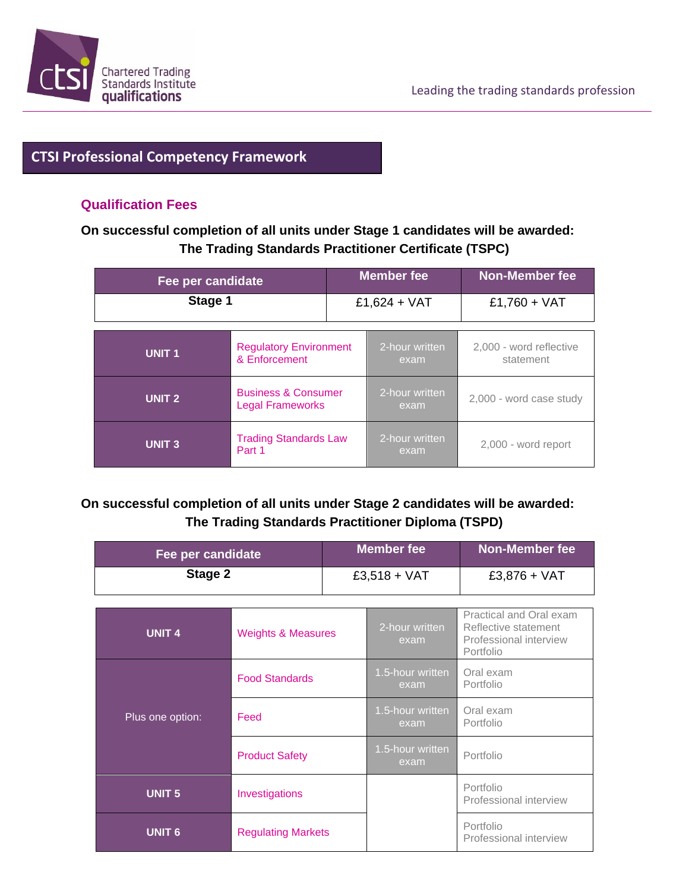## **CTSI Professional Competency Framework**

#### **Qualification Fees**

#### **On successful completion of all units under Stage 1 candidates will be awarded: The Trading Standards Practitioner Certificate (TSPC)**

| Fee per candidate |                                                           | <b>Member fee</b> |                        | Non-Member fee                       |  |
|-------------------|-----------------------------------------------------------|-------------------|------------------------|--------------------------------------|--|
| Stage 1           |                                                           | £1,624 + VAT      |                        | £1,760 + $VAT$                       |  |
| <b>UNIT1</b>      | <b>Regulatory Environment</b><br>& Enforcement            |                   | 2-hour written<br>exam | 2,000 - word reflective<br>statement |  |
| <b>UNIT 2</b>     | <b>Business &amp; Consumer</b><br><b>Legal Frameworks</b> |                   | 2-hour written<br>exam | 2,000 - word case study              |  |
| <b>UNIT3</b>      | <b>Trading Standards Law</b><br>Part 1                    |                   | 2-hour written<br>exam | 2,000 - word report                  |  |

### **On successful completion of all units under Stage 2 candidates will be awarded: The Trading Standards Practitioner Diploma (TSPD)**

| Fee per candidate |                               | <b>Member fee</b> |                          | Non-Member fee                                                                         |  |
|-------------------|-------------------------------|-------------------|--------------------------|----------------------------------------------------------------------------------------|--|
| Stage 2           |                               | $£3,518 + VAT$    |                          | $£3,876 + VAT$                                                                         |  |
|                   |                               |                   |                          |                                                                                        |  |
| <b>UNIT 4</b>     | <b>Weights &amp; Measures</b> |                   | 2-hour written<br>exam   | Practical and Oral exam<br>Reflective statement<br>Professional interview<br>Portfolio |  |
| Plus one option:  | <b>Food Standards</b>         |                   | 1.5-hour written<br>exam | Oral exam<br>Portfolio                                                                 |  |
|                   | Feed                          |                   | 1.5-hour written<br>exam | Oral exam<br>Portfolio                                                                 |  |
|                   | <b>Product Safety</b>         |                   | 1.5-hour written<br>exam | Portfolio                                                                              |  |
| <b>UNIT 5</b>     | Investigations                |                   |                          | Portfolio<br>Professional interview                                                    |  |
| <b>UNIT 6</b>     | <b>Regulating Markets</b>     |                   |                          | Portfolio<br>Professional interview                                                    |  |